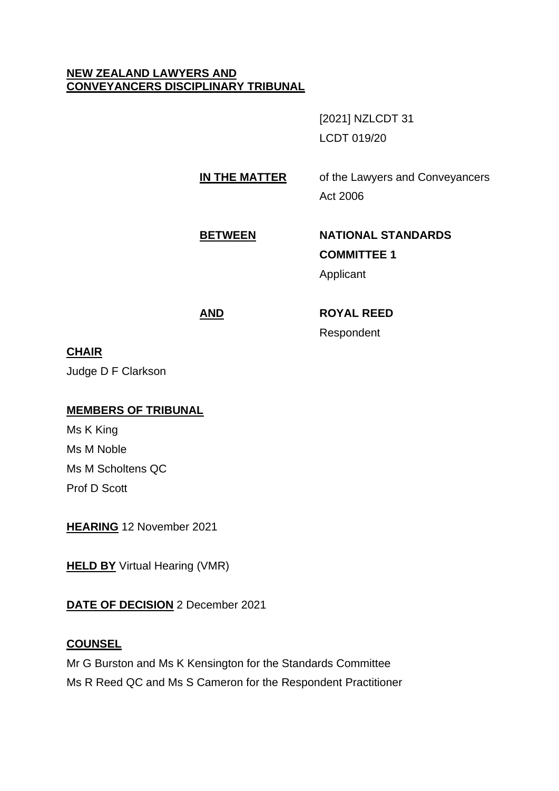# **NEW ZEALAND LAWYERS AND CONVEYANCERS DISCIPLINARY TRIBUNAL**

[2021] NZLCDT 31 LCDT 019/20

# **IN THE MATTER** of the Lawyers and Conveyancers

Act 2006

# **BETWEEN NATIONAL STANDARDS COMMITTEE 1**

Applicant

# **AND ROYAL REED** Respondent

**CHAIR**

Judge D F Clarkson

# **MEMBERS OF TRIBUNAL**

Ms K King Ms M Noble Ms M Scholtens QC Prof D Scott

**HEARING** 12 November 2021

**HELD BY** Virtual Hearing (VMR)

# **DATE OF DECISION** 2 December 2021

# **COUNSEL**

Mr G Burston and Ms K Kensington for the Standards Committee Ms R Reed QC and Ms S Cameron for the Respondent Practitioner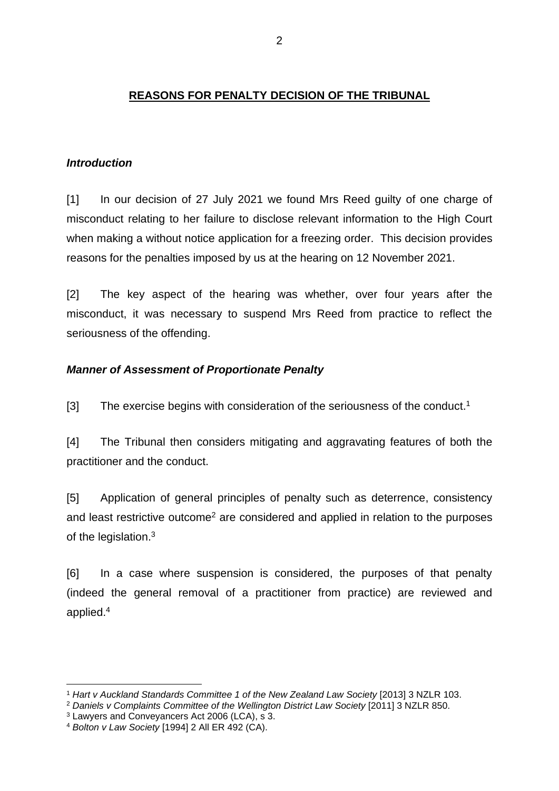# **REASONS FOR PENALTY DECISION OF THE TRIBUNAL**

# *Introduction*

[1] In our decision of 27 July 2021 we found Mrs Reed guilty of one charge of misconduct relating to her failure to disclose relevant information to the High Court when making a without notice application for a freezing order. This decision provides reasons for the penalties imposed by us at the hearing on 12 November 2021.

[2] The key aspect of the hearing was whether, over four years after the misconduct, it was necessary to suspend Mrs Reed from practice to reflect the seriousness of the offending.

## *Manner of Assessment of Proportionate Penalty*

 $[3]$  The exercise begins with consideration of the seriousness of the conduct.<sup>1</sup>

[4] The Tribunal then considers mitigating and aggravating features of both the practitioner and the conduct.

[5] Application of general principles of penalty such as deterrence, consistency and least restrictive outcome<sup>2</sup> are considered and applied in relation to the purposes of the legislation.<sup>3</sup>

[6] In a case where suspension is considered, the purposes of that penalty (indeed the general removal of a practitioner from practice) are reviewed and applied.<sup>4</sup>

<sup>1</sup> *Hart v Auckland Standards Committee 1 of the New Zealand Law Society* [2013] 3 NZLR 103.

<sup>2</sup> *Daniels v Complaints Committee of the Wellington District Law Society* [2011] 3 NZLR 850.

<sup>3</sup> Lawyers and Conveyancers Act 2006 (LCA), s 3.

<sup>4</sup> *Bolton v Law Society* [1994] 2 All ER 492 (CA).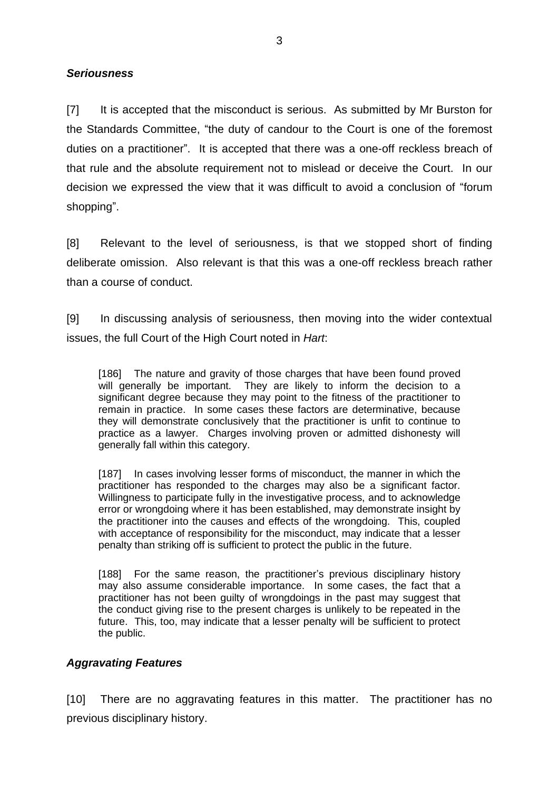#### *Seriousness*

[7] It is accepted that the misconduct is serious. As submitted by Mr Burston for the Standards Committee, "the duty of candour to the Court is one of the foremost duties on a practitioner". It is accepted that there was a one-off reckless breach of that rule and the absolute requirement not to mislead or deceive the Court. In our decision we expressed the view that it was difficult to avoid a conclusion of "forum shopping".

[8] Relevant to the level of seriousness, is that we stopped short of finding deliberate omission. Also relevant is that this was a one-off reckless breach rather than a course of conduct.

[9] In discussing analysis of seriousness, then moving into the wider contextual issues, the full Court of the High Court noted in *Hart*:

[186] The nature and gravity of those charges that have been found proved will generally be important. They are likely to inform the decision to a significant degree because they may point to the fitness of the practitioner to remain in practice. In some cases these factors are determinative, because they will demonstrate conclusively that the practitioner is unfit to continue to practice as a lawyer. Charges involving proven or admitted dishonesty will generally fall within this category.

[187] In cases involving lesser forms of misconduct, the manner in which the practitioner has responded to the charges may also be a significant factor. Willingness to participate fully in the investigative process, and to acknowledge error or wrongdoing where it has been established, may demonstrate insight by the practitioner into the causes and effects of the wrongdoing. This, coupled with acceptance of responsibility for the misconduct, may indicate that a lesser penalty than striking off is sufficient to protect the public in the future.

[188] For the same reason, the practitioner's previous disciplinary history may also assume considerable importance. In some cases, the fact that a practitioner has not been guilty of wrongdoings in the past may suggest that the conduct giving rise to the present charges is unlikely to be repeated in the future. This, too, may indicate that a lesser penalty will be sufficient to protect the public.

### *Aggravating Features*

[10] There are no aggravating features in this matter. The practitioner has no previous disciplinary history.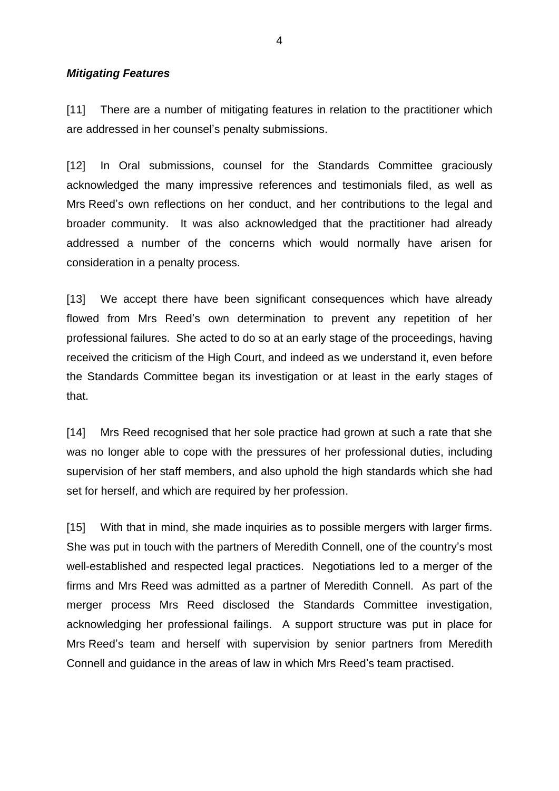#### *Mitigating Features*

[11] There are a number of mitigating features in relation to the practitioner which are addressed in her counsel's penalty submissions.

[12] In Oral submissions, counsel for the Standards Committee graciously acknowledged the many impressive references and testimonials filed, as well as Mrs Reed's own reflections on her conduct, and her contributions to the legal and broader community. It was also acknowledged that the practitioner had already addressed a number of the concerns which would normally have arisen for consideration in a penalty process.

[13] We accept there have been significant consequences which have already flowed from Mrs Reed's own determination to prevent any repetition of her professional failures. She acted to do so at an early stage of the proceedings, having received the criticism of the High Court, and indeed as we understand it, even before the Standards Committee began its investigation or at least in the early stages of that.

[14] Mrs Reed recognised that her sole practice had grown at such a rate that she was no longer able to cope with the pressures of her professional duties, including supervision of her staff members, and also uphold the high standards which she had set for herself, and which are required by her profession.

[15] With that in mind, she made inquiries as to possible mergers with larger firms. She was put in touch with the partners of Meredith Connell, one of the country's most well-established and respected legal practices. Negotiations led to a merger of the firms and Mrs Reed was admitted as a partner of Meredith Connell. As part of the merger process Mrs Reed disclosed the Standards Committee investigation, acknowledging her professional failings. A support structure was put in place for Mrs Reed's team and herself with supervision by senior partners from Meredith Connell and guidance in the areas of law in which Mrs Reed's team practised.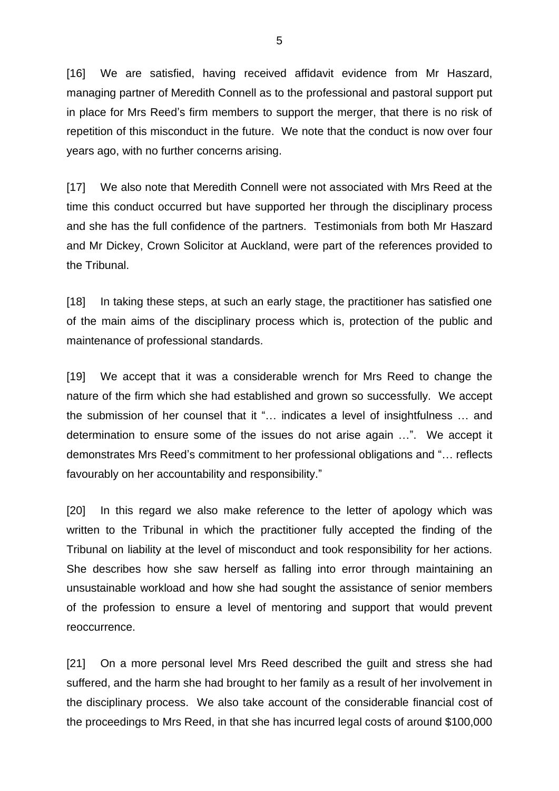[16] We are satisfied, having received affidavit evidence from Mr Haszard, managing partner of Meredith Connell as to the professional and pastoral support put in place for Mrs Reed's firm members to support the merger, that there is no risk of repetition of this misconduct in the future. We note that the conduct is now over four years ago, with no further concerns arising.

[17] We also note that Meredith Connell were not associated with Mrs Reed at the time this conduct occurred but have supported her through the disciplinary process and she has the full confidence of the partners. Testimonials from both Mr Haszard and Mr Dickey, Crown Solicitor at Auckland, were part of the references provided to the Tribunal.

[18] In taking these steps, at such an early stage, the practitioner has satisfied one of the main aims of the disciplinary process which is, protection of the public and maintenance of professional standards.

[19] We accept that it was a considerable wrench for Mrs Reed to change the nature of the firm which she had established and grown so successfully. We accept the submission of her counsel that it "… indicates a level of insightfulness … and determination to ensure some of the issues do not arise again …". We accept it demonstrates Mrs Reed's commitment to her professional obligations and "… reflects favourably on her accountability and responsibility."

[20] In this regard we also make reference to the letter of apology which was written to the Tribunal in which the practitioner fully accepted the finding of the Tribunal on liability at the level of misconduct and took responsibility for her actions. She describes how she saw herself as falling into error through maintaining an unsustainable workload and how she had sought the assistance of senior members of the profession to ensure a level of mentoring and support that would prevent reoccurrence.

[21] On a more personal level Mrs Reed described the guilt and stress she had suffered, and the harm she had brought to her family as a result of her involvement in the disciplinary process. We also take account of the considerable financial cost of the proceedings to Mrs Reed, in that she has incurred legal costs of around \$100,000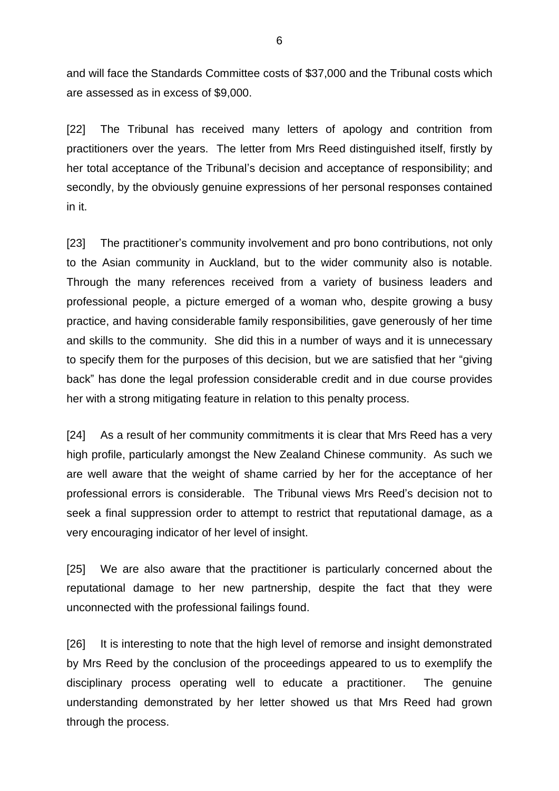and will face the Standards Committee costs of \$37,000 and the Tribunal costs which are assessed as in excess of \$9,000.

[22] The Tribunal has received many letters of apology and contrition from practitioners over the years. The letter from Mrs Reed distinguished itself, firstly by her total acceptance of the Tribunal's decision and acceptance of responsibility; and secondly, by the obviously genuine expressions of her personal responses contained in it.

[23] The practitioner's community involvement and pro bono contributions, not only to the Asian community in Auckland, but to the wider community also is notable. Through the many references received from a variety of business leaders and professional people, a picture emerged of a woman who, despite growing a busy practice, and having considerable family responsibilities, gave generously of her time and skills to the community. She did this in a number of ways and it is unnecessary to specify them for the purposes of this decision, but we are satisfied that her "giving back" has done the legal profession considerable credit and in due course provides her with a strong mitigating feature in relation to this penalty process.

[24] As a result of her community commitments it is clear that Mrs Reed has a very high profile, particularly amongst the New Zealand Chinese community. As such we are well aware that the weight of shame carried by her for the acceptance of her professional errors is considerable. The Tribunal views Mrs Reed's decision not to seek a final suppression order to attempt to restrict that reputational damage, as a very encouraging indicator of her level of insight.

[25] We are also aware that the practitioner is particularly concerned about the reputational damage to her new partnership, despite the fact that they were unconnected with the professional failings found.

[26] It is interesting to note that the high level of remorse and insight demonstrated by Mrs Reed by the conclusion of the proceedings appeared to us to exemplify the disciplinary process operating well to educate a practitioner. The genuine understanding demonstrated by her letter showed us that Mrs Reed had grown through the process.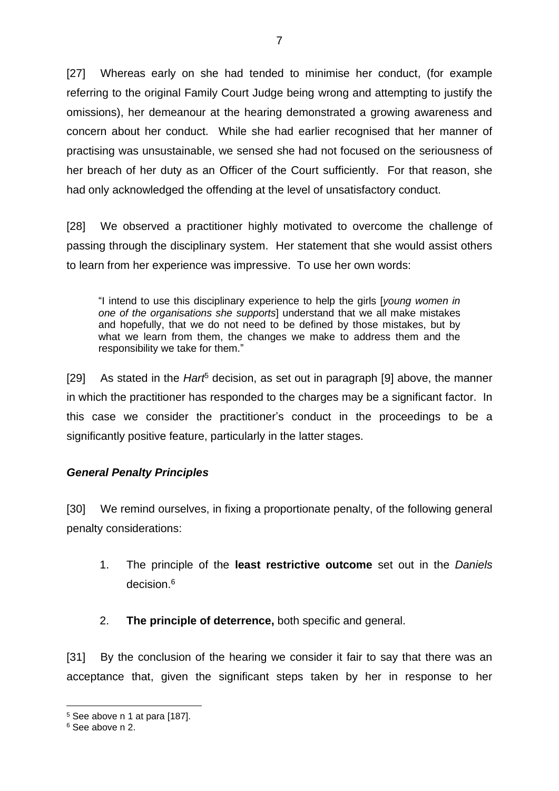[27] Whereas early on she had tended to minimise her conduct, (for example referring to the original Family Court Judge being wrong and attempting to justify the omissions), her demeanour at the hearing demonstrated a growing awareness and concern about her conduct. While she had earlier recognised that her manner of practising was unsustainable, we sensed she had not focused on the seriousness of her breach of her duty as an Officer of the Court sufficiently. For that reason, she had only acknowledged the offending at the level of unsatisfactory conduct.

[28] We observed a practitioner highly motivated to overcome the challenge of passing through the disciplinary system. Her statement that she would assist others to learn from her experience was impressive. To use her own words:

"I intend to use this disciplinary experience to help the girls [*young women in one of the organisations she supports*] understand that we all make mistakes and hopefully, that we do not need to be defined by those mistakes, but by what we learn from them, the changes we make to address them and the responsibility we take for them."

[29] As stated in the *Hart*<sup>5</sup> decision, as set out in paragraph [9] above, the manner in which the practitioner has responded to the charges may be a significant factor. In this case we consider the practitioner's conduct in the proceedings to be a significantly positive feature, particularly in the latter stages.

# *General Penalty Principles*

[30] We remind ourselves, in fixing a proportionate penalty, of the following general penalty considerations:

- 1. The principle of the **least restrictive outcome** set out in the *Daniels* decision.<sup>6</sup>
- 2. **The principle of deterrence,** both specific and general.

[31] By the conclusion of the hearing we consider it fair to say that there was an acceptance that, given the significant steps taken by her in response to her

<sup>5</sup> See above n 1 at para [187].

<sup>6</sup> See above n 2.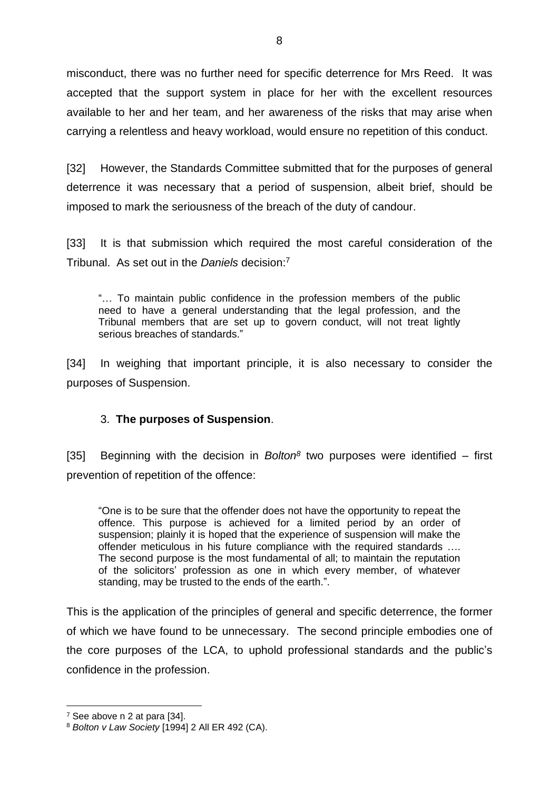misconduct, there was no further need for specific deterrence for Mrs Reed. It was accepted that the support system in place for her with the excellent resources available to her and her team, and her awareness of the risks that may arise when carrying a relentless and heavy workload, would ensure no repetition of this conduct.

[32] However, the Standards Committee submitted that for the purposes of general deterrence it was necessary that a period of suspension, albeit brief, should be imposed to mark the seriousness of the breach of the duty of candour.

[33] It is that submission which required the most careful consideration of the Tribunal. As set out in the *Daniels* decision: 7

"… To maintain public confidence in the profession members of the public need to have a general understanding that the legal profession, and the Tribunal members that are set up to govern conduct, will not treat lightly serious breaches of standards."

[34] In weighing that important principle, it is also necessary to consider the purposes of Suspension.

### 3. **The purposes of Suspension**.

[35] Beginning with the decision in *Bolton<sup>8</sup>* two purposes were identified – first prevention of repetition of the offence:

"One is to be sure that the offender does not have the opportunity to repeat the offence. This purpose is achieved for a limited period by an order of suspension; plainly it is hoped that the experience of suspension will make the offender meticulous in his future compliance with the required standards …. The second purpose is the most fundamental of all; to maintain the reputation of the solicitors' profession as one in which every member, of whatever standing, may be trusted to the ends of the earth.".

This is the application of the principles of general and specific deterrence, the former of which we have found to be unnecessary. The second principle embodies one of the core purposes of the LCA, to uphold professional standards and the public's confidence in the profession.

<sup>7</sup> See above n 2 at para [34].

<sup>8</sup> *Bolton v Law Society* [1994] 2 All ER 492 (CA).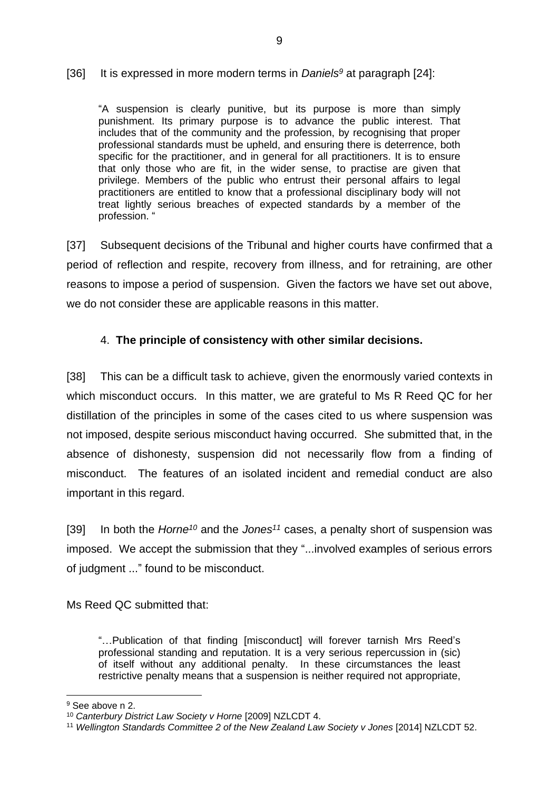#### [36] It is expressed in more modern terms in *Daniels<sup>9</sup>* at paragraph [24]:

"A suspension is clearly punitive, but its purpose is more than simply punishment. Its primary purpose is to advance the public interest. That includes that of the community and the profession, by recognising that proper professional standards must be upheld, and ensuring there is deterrence, both specific for the practitioner, and in general for all practitioners. It is to ensure that only those who are fit, in the wider sense, to practise are given that privilege. Members of the public who entrust their personal affairs to legal practitioners are entitled to know that a professional disciplinary body will not treat lightly serious breaches of expected standards by a member of the profession. "

[37] Subsequent decisions of the Tribunal and higher courts have confirmed that a period of reflection and respite, recovery from illness, and for retraining, are other reasons to impose a period of suspension. Given the factors we have set out above, we do not consider these are applicable reasons in this matter.

# 4. **The principle of consistency with other similar decisions.**

[38] This can be a difficult task to achieve, given the enormously varied contexts in which misconduct occurs. In this matter, we are grateful to Ms R Reed QC for her distillation of the principles in some of the cases cited to us where suspension was not imposed, despite serious misconduct having occurred. She submitted that, in the absence of dishonesty, suspension did not necessarily flow from a finding of misconduct. The features of an isolated incident and remedial conduct are also important in this regard.

[39] In both the *Horne<sup>10</sup>* and the *Jones<sup>11</sup>* cases, a penalty short of suspension was imposed. We accept the submission that they "...involved examples of serious errors of judgment ..." found to be misconduct.

Ms Reed QC submitted that:

"…Publication of that finding [misconduct] will forever tarnish Mrs Reed's professional standing and reputation. It is a very serious repercussion in (sic) of itself without any additional penalty. In these circumstances the least restrictive penalty means that a suspension is neither required not appropriate,

<sup>&</sup>lt;sup>9</sup> See above n 2.

<sup>&</sup>lt;sup>10</sup> Canterbury District Law Society v Horne [2009] NZLCDT 4.

<sup>11</sup> *Wellington Standards Committee 2 of the New Zealand Law Society v Jones* [2014] NZLCDT 52.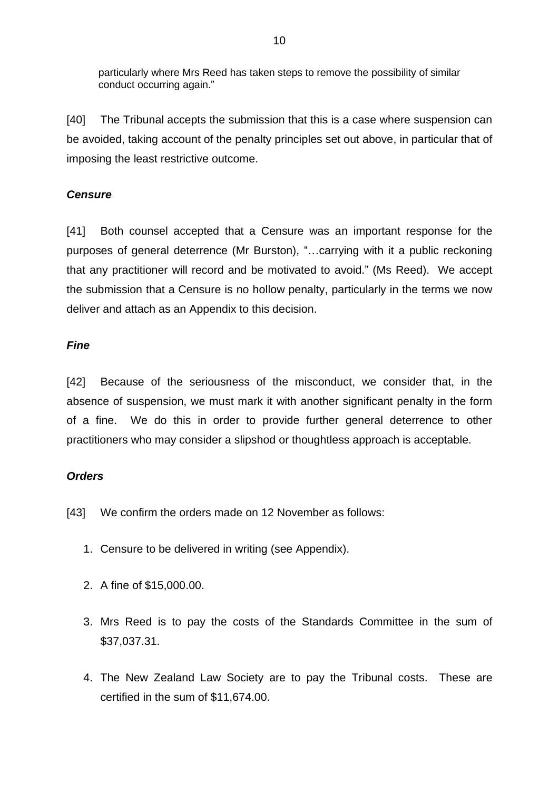particularly where Mrs Reed has taken steps to remove the possibility of similar conduct occurring again."

[40] The Tribunal accepts the submission that this is a case where suspension can be avoided, taking account of the penalty principles set out above, in particular that of imposing the least restrictive outcome.

# *Censure*

[41] Both counsel accepted that a Censure was an important response for the purposes of general deterrence (Mr Burston), "…carrying with it a public reckoning that any practitioner will record and be motivated to avoid." (Ms Reed). We accept the submission that a Censure is no hollow penalty, particularly in the terms we now deliver and attach as an Appendix to this decision.

# *Fine*

[42] Because of the seriousness of the misconduct, we consider that, in the absence of suspension, we must mark it with another significant penalty in the form of a fine. We do this in order to provide further general deterrence to other practitioners who may consider a slipshod or thoughtless approach is acceptable.

# *Orders*

- [43] We confirm the orders made on 12 November as follows:
	- 1. Censure to be delivered in writing (see Appendix).
	- 2. A fine of \$15,000.00.
	- 3. Mrs Reed is to pay the costs of the Standards Committee in the sum of \$37,037.31.
	- 4. The New Zealand Law Society are to pay the Tribunal costs. These are certified in the sum of \$11,674.00.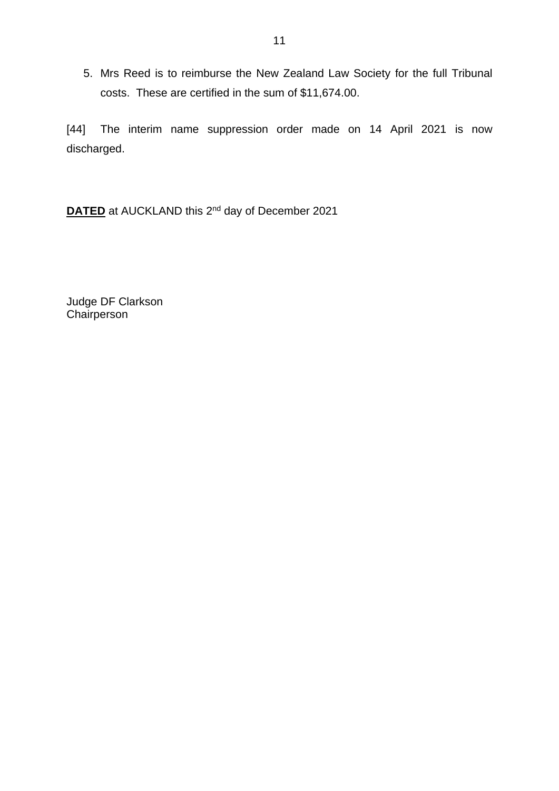5. Mrs Reed is to reimburse the New Zealand Law Society for the full Tribunal costs. These are certified in the sum of \$11,674.00.

[44] The interim name suppression order made on 14 April 2021 is now discharged.

**DATED** at AUCKLAND this 2<sup>nd</sup> day of December 2021

Judge DF Clarkson **Chairperson**